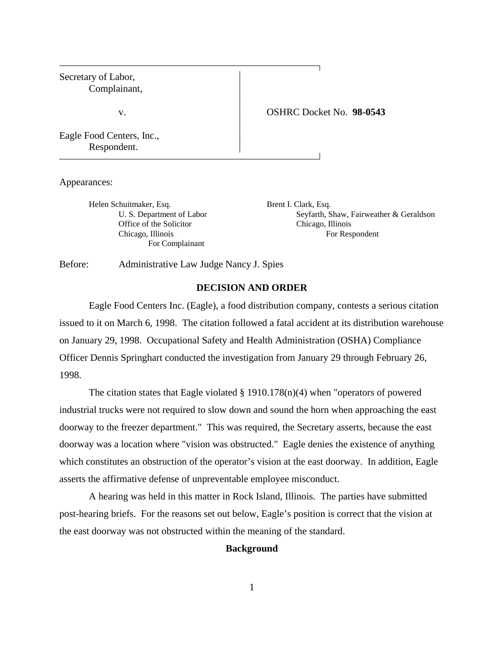| Secretary of Labor,<br>Complainant,      |                          |
|------------------------------------------|--------------------------|
| v.                                       | OSHRC Docket No. 98-0543 |
| Eagle Food Centers, Inc.,<br>Respondent. |                          |

Appearances:

Helen Schuitmaker, Esq. Brent I. Clark, Esq. Office of the Solicitor Chicago, Illinois For Complainant

U. S. Department of Labor Seyfarth, Shaw, Fairweather & Geraldson Chicago, Illinois For Respondent

Before: Administrative Law Judge Nancy J. Spies

# **DECISION AND ORDER**

Eagle Food Centers Inc. (Eagle), a food distribution company, contests a serious citation issued to it on March 6, 1998. The citation followed a fatal accident at its distribution warehouse on January 29, 1998. Occupational Safety and Health Administration (OSHA) Compliance Officer Dennis Springhart conducted the investigation from January 29 through February 26, 1998.

The citation states that Eagle violated  $\S$  1910.178(n)(4) when "operators of powered industrial trucks were not required to slow down and sound the horn when approaching the east doorway to the freezer department." This was required, the Secretary asserts, because the east doorway was a location where "vision was obstructed." Eagle denies the existence of anything which constitutes an obstruction of the operator's vision at the east doorway. In addition, Eagle asserts the affirmative defense of unpreventable employee misconduct.

A hearing was held in this matter in Rock Island, Illinois. The parties have submitted post-hearing briefs. For the reasons set out below, Eagle's position is correct that the vision at the east doorway was not obstructed within the meaning of the standard.

## **Background**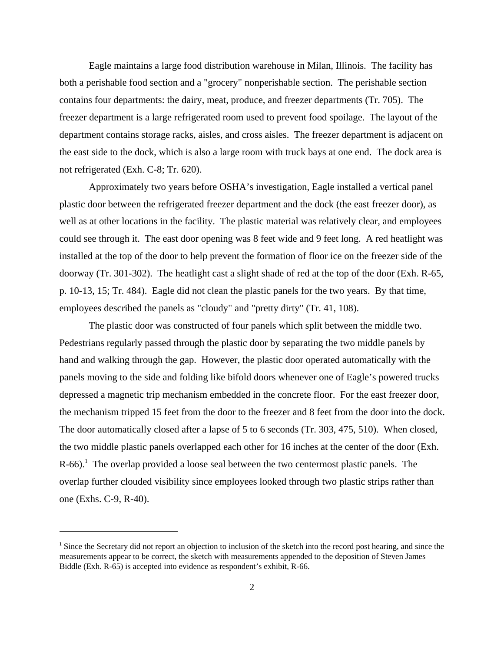Eagle maintains a large food distribution warehouse in Milan, Illinois. The facility has both a perishable food section and a "grocery" nonperishable section. The perishable section contains four departments: the dairy, meat, produce, and freezer departments (Tr. 705). The freezer department is a large refrigerated room used to prevent food spoilage. The layout of the department contains storage racks, aisles, and cross aisles. The freezer department is adjacent on the east side to the dock, which is also a large room with truck bays at one end. The dock area is not refrigerated (Exh. C-8; Tr. 620).

Approximately two years before OSHA's investigation, Eagle installed a vertical panel plastic door between the refrigerated freezer department and the dock (the east freezer door), as well as at other locations in the facility. The plastic material was relatively clear, and employees could see through it. The east door opening was 8 feet wide and 9 feet long. A red heatlight was installed at the top of the door to help prevent the formation of floor ice on the freezer side of the doorway (Tr. 301-302). The heatlight cast a slight shade of red at the top of the door (Exh. R-65, p. 10-13, 15; Tr. 484). Eagle did not clean the plastic panels for the two years. By that time, employees described the panels as "cloudy" and "pretty dirty" (Tr. 41, 108).

The plastic door was constructed of four panels which split between the middle two. Pedestrians regularly passed through the plastic door by separating the two middle panels by hand and walking through the gap. However, the plastic door operated automatically with the panels moving to the side and folding like bifold doors whenever one of Eagle's powered trucks depressed a magnetic trip mechanism embedded in the concrete floor. For the east freezer door, the mechanism tripped 15 feet from the door to the freezer and 8 feet from the door into the dock. The door automatically closed after a lapse of 5 to 6 seconds (Tr. 303, 475, 510). When closed, the two middle plastic panels overlapped each other for 16 inches at the center of the door (Exh.  $R-66$ ).<sup>1</sup> The overlap provided a loose seal between the two centermost plastic panels. The overlap further clouded visibility since employees looked through two plastic strips rather than one (Exhs. C-9, R-40).

<sup>&</sup>lt;sup>1</sup> Since the Secretary did not report an objection to inclusion of the sketch into the record post hearing, and since the measurements appear to be correct, the sketch with measurements appended to the deposition of Steven James Biddle (Exh. R-65) is accepted into evidence as respondent's exhibit, R-66.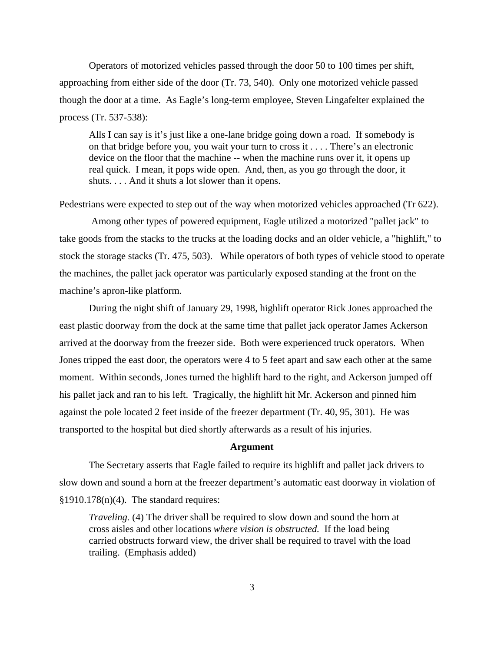Operators of motorized vehicles passed through the door 50 to 100 times per shift, approaching from either side of the door (Tr. 73, 540). Only one motorized vehicle passed though the door at a time. As Eagle's long-term employee, Steven Lingafelter explained the process (Tr. 537-538):

Alls I can say is it's just like a one-lane bridge going down a road. If somebody is on that bridge before you, you wait your turn to cross it . . . . There's an electronic device on the floor that the machine -- when the machine runs over it, it opens up real quick. I mean, it pops wide open. And, then, as you go through the door, it shuts. . . . And it shuts a lot slower than it opens.

Pedestrians were expected to step out of the way when motorized vehicles approached (Tr 622).

 Among other types of powered equipment, Eagle utilized a motorized "pallet jack" to take goods from the stacks to the trucks at the loading docks and an older vehicle, a "highlift," to stock the storage stacks (Tr. 475, 503). While operators of both types of vehicle stood to operate the machines, the pallet jack operator was particularly exposed standing at the front on the machine's apron-like platform.

During the night shift of January 29, 1998, highlift operator Rick Jones approached the east plastic doorway from the dock at the same time that pallet jack operator James Ackerson arrived at the doorway from the freezer side. Both were experienced truck operators. When Jones tripped the east door, the operators were 4 to 5 feet apart and saw each other at the same moment. Within seconds, Jones turned the highlift hard to the right, and Ackerson jumped off his pallet jack and ran to his left. Tragically, the highlift hit Mr. Ackerson and pinned him against the pole located 2 feet inside of the freezer department (Tr. 40, 95, 301). He was transported to the hospital but died shortly afterwards as a result of his injuries.

#### **Argument**

The Secretary asserts that Eagle failed to require its highlift and pallet jack drivers to slow down and sound a horn at the freezer department's automatic east doorway in violation of  $$1910.178(n)(4)$ . The standard requires:

*Traveling.* (4) The driver shall be required to slow down and sound the horn at cross aisles and other locations *where vision is obstructed.* If the load being carried obstructs forward view, the driver shall be required to travel with the load trailing. (Emphasis added)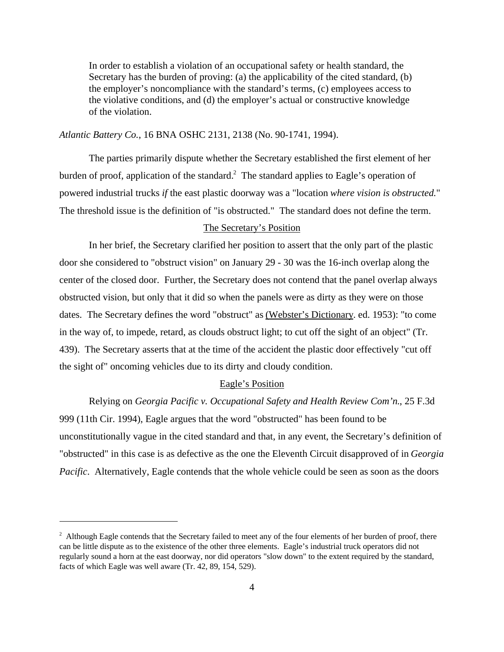In order to establish a violation of an occupational safety or health standard, the Secretary has the burden of proving: (a) the applicability of the cited standard, (b) the employer's noncompliance with the standard's terms, (c) employees access to the violative conditions, and (d) the employer's actual or constructive knowledge of the violation.

# *Atlantic Battery Co.*, 16 BNA OSHC 2131, 2138 (No. 90-1741, 1994).

The parties primarily dispute whether the Secretary established the first element of her burden of proof, application of the standard.<sup>2</sup> The standard applies to Eagle's operation of powered industrial trucks *if* the east plastic doorway was a "location *where vision is obstructed.*" The threshold issue is the definition of "is obstructed." The standard does not define the term.

### The Secretary's Position

In her brief, the Secretary clarified her position to assert that the only part of the plastic door she considered to "obstruct vision" on January 29 - 30 was the 16-inch overlap along the center of the closed door. Further, the Secretary does not contend that the panel overlap always obstructed vision, but only that it did so when the panels were as dirty as they were on those dates. The Secretary defines the word "obstruct" as (Webster's Dictionary. ed. 1953): "to come in the way of, to impede, retard, as clouds obstruct light; to cut off the sight of an object" (Tr. 439). The Secretary asserts that at the time of the accident the plastic door effectively "cut off the sight of" oncoming vehicles due to its dirty and cloudy condition.

## Eagle's Position

Relying on *Georgia Pacific v. Occupational Safety and Health Review Com'n.*, 25 F.3d 999 (11th Cir. 1994), Eagle argues that the word "obstructed" has been found to be unconstitutionally vague in the cited standard and that, in any event, the Secretary's definition of "obstructed" in this case is as defective as the one the Eleventh Circuit disapproved of in *Georgia Pacific.* Alternatively, Eagle contends that the whole vehicle could be seen as soon as the doors

 $2$  Although Eagle contends that the Secretary failed to meet any of the four elements of her burden of proof, there can be little dispute as to the existence of the other three elements. Eagle's industrial truck operators did not regularly sound a horn at the east doorway, nor did operators "slow down" to the extent required by the standard, facts of which Eagle was well aware (Tr. 42, 89, 154, 529).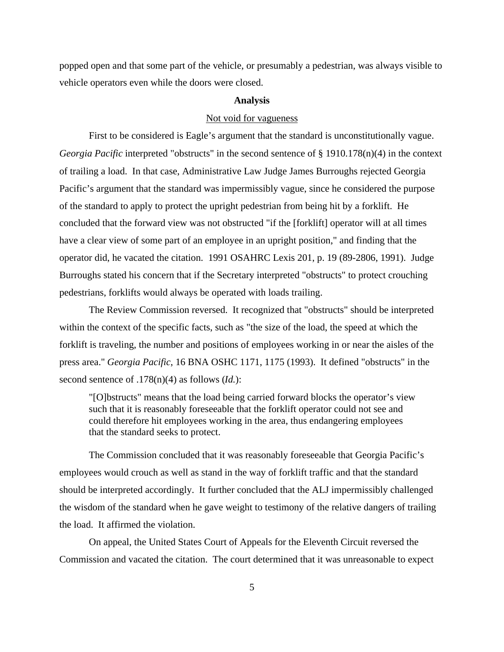popped open and that some part of the vehicle, or presumably a pedestrian, was always visible to vehicle operators even while the doors were closed.

#### **Analysis**

## Not void for vagueness

First to be considered is Eagle's argument that the standard is unconstitutionally vague. *Georgia Pacific* interpreted "obstructs" in the second sentence of § 1910.178(n)(4) in the context of trailing a load. In that case, Administrative Law Judge James Burroughs rejected Georgia Pacific's argument that the standard was impermissibly vague, since he considered the purpose of the standard to apply to protect the upright pedestrian from being hit by a forklift. He concluded that the forward view was not obstructed "if the [forklift] operator will at all times have a clear view of some part of an employee in an upright position," and finding that the operator did, he vacated the citation. 1991 OSAHRC Lexis 201, p. 19 (89-2806, 1991). Judge Burroughs stated his concern that if the Secretary interpreted "obstructs" to protect crouching pedestrians, forklifts would always be operated with loads trailing.

 The Review Commission reversed. It recognized that "obstructs" should be interpreted within the context of the specific facts, such as "the size of the load, the speed at which the forklift is traveling, the number and positions of employees working in or near the aisles of the press area." *Georgia Pacific*, 16 BNA OSHC 1171, 1175 (1993). It defined "obstructs" in the second sentence of .178(n)(4) as follows (*Id.*):

"[O]bstructs" means that the load being carried forward blocks the operator's view such that it is reasonably foreseeable that the forklift operator could not see and could therefore hit employees working in the area, thus endangering employees that the standard seeks to protect.

The Commission concluded that it was reasonably foreseeable that Georgia Pacific's employees would crouch as well as stand in the way of forklift traffic and that the standard should be interpreted accordingly. It further concluded that the ALJ impermissibly challenged the wisdom of the standard when he gave weight to testimony of the relative dangers of trailing the load. It affirmed the violation.

On appeal, the United States Court of Appeals for the Eleventh Circuit reversed the Commission and vacated the citation. The court determined that it was unreasonable to expect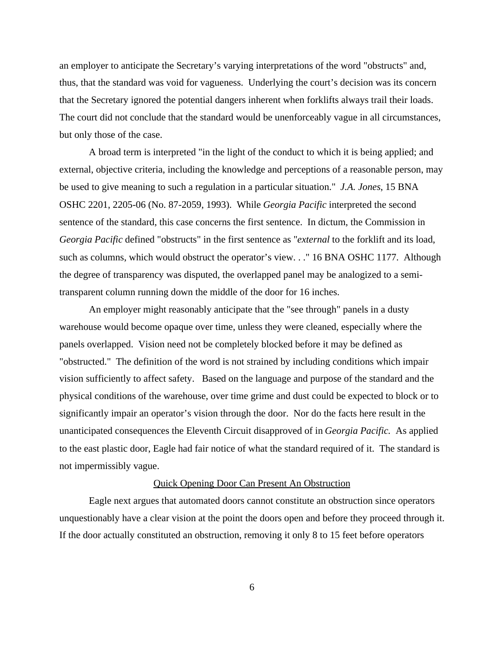an employer to anticipate the Secretary's varying interpretations of the word "obstructs" and, thus, that the standard was void for vagueness. Underlying the court's decision was its concern that the Secretary ignored the potential dangers inherent when forklifts always trail their loads. The court did not conclude that the standard would be unenforceably vague in all circumstances, but only those of the case.

A broad term is interpreted "in the light of the conduct to which it is being applied; and external, objective criteria, including the knowledge and perceptions of a reasonable person, may be used to give meaning to such a regulation in a particular situation." *J.A. Jones*, 15 BNA OSHC 2201, 2205-06 (No. 87-2059, 1993). While *Georgia Pacific* interpreted the second sentence of the standard, this case concerns the first sentence. In dictum, the Commission in *Georgia Pacific* defined "obstructs" in the first sentence as "*external* to the forklift and its load, such as columns, which would obstruct the operator's view. . ." 16 BNA OSHC 1177. Although the degree of transparency was disputed, the overlapped panel may be analogized to a semitransparent column running down the middle of the door for 16 inches.

An employer might reasonably anticipate that the "see through" panels in a dusty warehouse would become opaque over time, unless they were cleaned, especially where the panels overlapped. Vision need not be completely blocked before it may be defined as "obstructed." The definition of the word is not strained by including conditions which impair vision sufficiently to affect safety. Based on the language and purpose of the standard and the physical conditions of the warehouse, over time grime and dust could be expected to block or to significantly impair an operator's vision through the door. Nor do the facts here result in the unanticipated consequences the Eleventh Circuit disapproved of in *Georgia Pacific.* As applied to the east plastic door, Eagle had fair notice of what the standard required of it. The standard is not impermissibly vague.

#### Quick Opening Door Can Present An Obstruction

Eagle next argues that automated doors cannot constitute an obstruction since operators unquestionably have a clear vision at the point the doors open and before they proceed through it. If the door actually constituted an obstruction, removing it only 8 to 15 feet before operators

6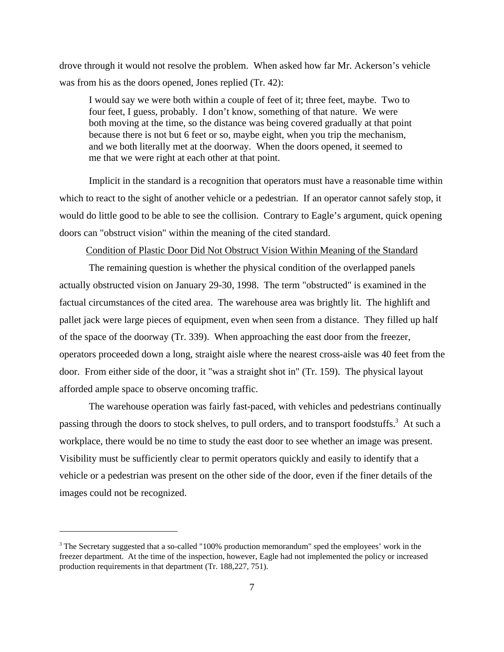drove through it would not resolve the problem. When asked how far Mr. Ackerson's vehicle was from his as the doors opened, Jones replied (Tr. 42):

I would say we were both within a couple of feet of it; three feet, maybe. Two to four feet, I guess, probably. I don't know, something of that nature. We were both moving at the time, so the distance was being covered gradually at that point because there is not but 6 feet or so, maybe eight, when you trip the mechanism, and we both literally met at the doorway. When the doors opened, it seemed to me that we were right at each other at that point.

Implicit in the standard is a recognition that operators must have a reasonable time within which to react to the sight of another vehicle or a pedestrian. If an operator cannot safely stop, it would do little good to be able to see the collision. Contrary to Eagle's argument, quick opening doors can "obstruct vision" within the meaning of the cited standard.

## Condition of Plastic Door Did Not Obstruct Vision Within Meaning of the Standard

The remaining question is whether the physical condition of the overlapped panels actually obstructed vision on January 29-30, 1998. The term "obstructed" is examined in the factual circumstances of the cited area. The warehouse area was brightly lit. The highlift and pallet jack were large pieces of equipment, even when seen from a distance. They filled up half of the space of the doorway (Tr. 339). When approaching the east door from the freezer, operators proceeded down a long, straight aisle where the nearest cross-aisle was 40 feet from the door. From either side of the door, it "was a straight shot in" (Tr. 159). The physical layout afforded ample space to observe oncoming traffic.

The warehouse operation was fairly fast-paced, with vehicles and pedestrians continually passing through the doors to stock shelves, to pull orders, and to transport foodstuffs.<sup>3</sup> At such a workplace, there would be no time to study the east door to see whether an image was present. Visibility must be sufficiently clear to permit operators quickly and easily to identify that a vehicle or a pedestrian was present on the other side of the door, even if the finer details of the images could not be recognized.

<sup>&</sup>lt;sup>3</sup> The Secretary suggested that a so-called "100% production memorandum" sped the employees' work in the freezer department. At the time of the inspection, however, Eagle had not implemented the policy or increased production requirements in that department (Tr. 188,227, 751).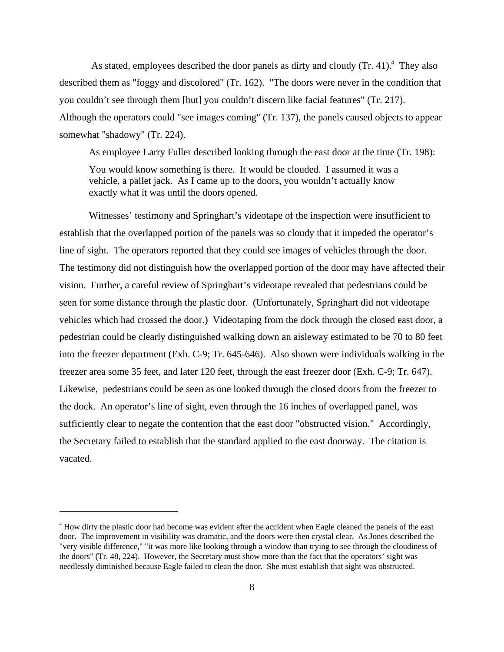As stated, employees described the door panels as dirty and cloudy (Tr. 41).<sup>4</sup> They also described them as "foggy and discolored" (Tr. 162). "The doors were never in the condition that you couldn't see through them [but] you couldn't discern like facial features" (Tr. 217). Although the operators could "see images coming" (Tr. 137), the panels caused objects to appear somewhat "shadowy" (Tr. 224).

As employee Larry Fuller described looking through the east door at the time (Tr. 198):

You would know something is there. It would be clouded. I assumed it was a vehicle, a pallet jack. As I came up to the doors, you wouldn't actually know exactly what it was until the doors opened.

Witnesses' testimony and Springhart's videotape of the inspection were insufficient to establish that the overlapped portion of the panels was so cloudy that it impeded the operator's line of sight. The operators reported that they could see images of vehicles through the door. The testimony did not distinguish how the overlapped portion of the door may have affected their vision. Further, a careful review of Springhart's videotape revealed that pedestrians could be seen for some distance through the plastic door. (Unfortunately, Springhart did not videotape vehicles which had crossed the door.) Videotaping from the dock through the closed east door, a pedestrian could be clearly distinguished walking down an aisleway estimated to be 70 to 80 feet into the freezer department (Exh. C-9; Tr. 645-646). Also shown were individuals walking in the freezer area some 35 feet, and later 120 feet, through the east freezer door (Exh. C-9; Tr. 647). Likewise, pedestrians could be seen as one looked through the closed doors from the freezer to the dock. An operator's line of sight, even through the 16 inches of overlapped panel, was sufficiently clear to negate the contention that the east door "obstructed vision." Accordingly, the Secretary failed to establish that the standard applied to the east doorway. The citation is vacated.

<sup>&</sup>lt;sup>4</sup> How dirty the plastic door had become was evident after the accident when Eagle cleaned the panels of the east door. The improvement in visibility was dramatic, and the doors were then crystal clear. As Jones described the "very visible difference," "it was more like looking through a window than trying to see through the cloudiness of the doors" (Tr. 48, 224). However, the Secretary must show more than the fact that the operators' sight was needlessly diminished because Eagle failed to clean the door. She must establish that sight was obstructed.